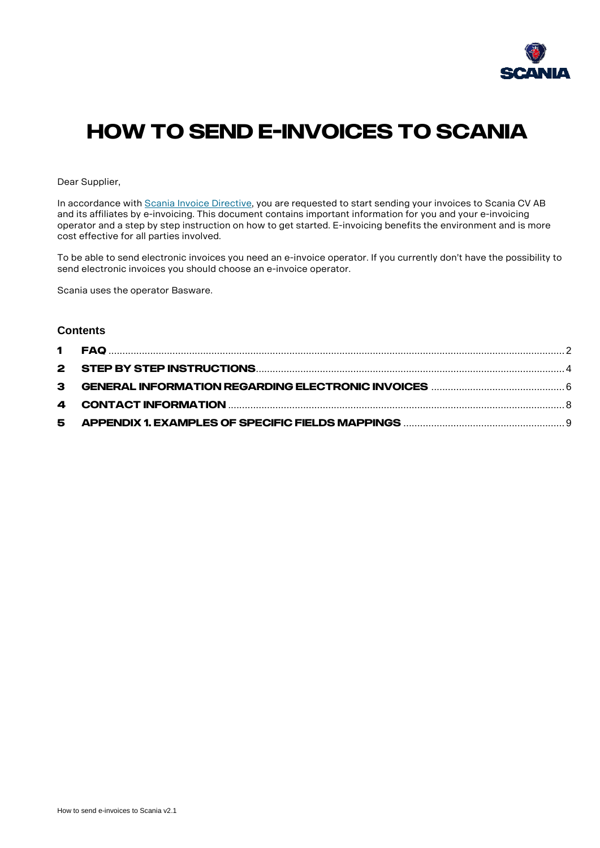

# **How to send E-invoices to Scania**

Dear Supplier,

In accordance wit[h Scania Invoice Directive,](https://supplier.scania.com/wps/portal/Home/Invoicing-Scania/How-to-Invoice-Scania/Scania-Invoice-Directive/) you are requested to start sending your invoices to Scania CV AB and its affiliates by e-invoicing. This document contains important information for you and your e-invoicing operator and a step by step instruction on how to get started. E-invoicing benefits the environment and is more cost effective for all parties involved.

To be able to send electronic invoices you need an e-invoice operator. If you currently don't have the possibility to send electronic invoices you should choose an e-invoice operator.

Scania uses the operator Basware.

#### **Contents**

| 5. |  |
|----|--|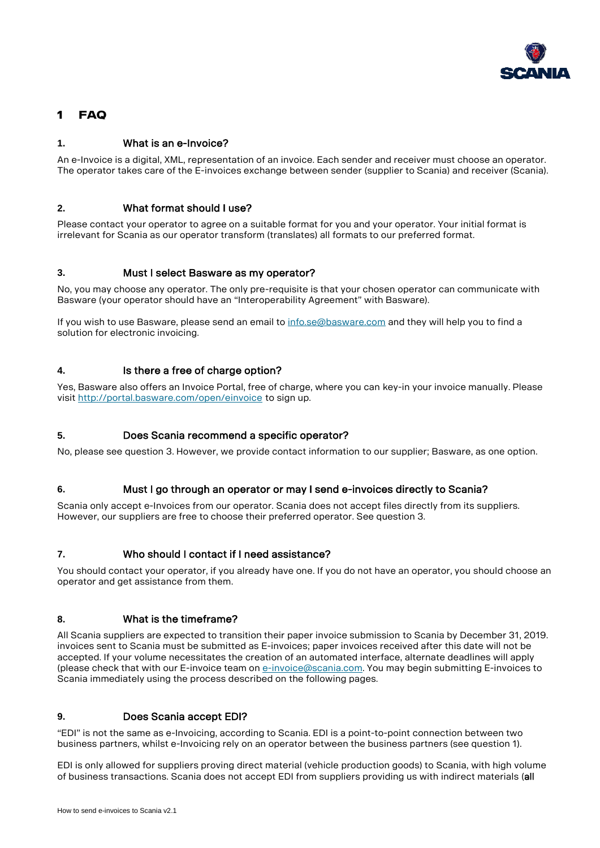

## <span id="page-1-0"></span>**1 FAQ**

#### **1.** What is an e-Invoice?

An e-Invoice is a digital, XML, representation of an invoice. Each sender and receiver must choose an operator. The operator takes care of the E-invoices exchange between sender (supplier to Scania) and receiver (Scania).

#### **2.** What format should I use?

Please contact your operator to agree on a suitable format for you and your operator. Your initial format is irrelevant for Scania as our operator transform (translates) all formats to our preferred format.

#### **3.** Must I select Basware as my operator?

No, you may choose any operator. The only pre-requisite is that your chosen operator can communicate with Basware (your operator should have an "Interoperability Agreement" with Basware).

If you wish to use Basware, please send an email to [info.se@basware.com](mailto:info.se@basware.com) and they will help you to find a solution for electronic invoicing.

#### **4.** Is there a free of charge option?

Yes, Basware also offers an Invoice Portal, free of charge, where you can key-in your invoice manually. Please visit <http://portal.basware.com/open/einvoice> to sign up.

#### **5.** Does Scania recommend a specific operator?

No, please see question 3. However, we provide contact information to our supplier; Basware, as one option.

#### **6.** Must I go through an operator or may I send e-invoices directly to Scania?

Scania only accept e-Invoices from our operator. Scania does not accept files directly from its suppliers. However, our suppliers are free to choose their preferred operator. See question 3.

#### **7.** Who should I contact if I need assistance?

You should contact your operator, if you already have one. If you do not have an operator, you should choose an operator and get assistance from them.

#### **8.** What is the timeframe?

All Scania suppliers are expected to transition their paper invoice submission to Scania by December 31, 2019. invoices sent to Scania must be submitted as E-invoices; paper invoices received after this date will not be accepted. If your volume necessitates the creation of an automated interface, alternate deadlines will apply (please check that with our E-invoice team o[n e-invoice@scania.com.](mailto:e-invoice@scania.com) You may begin submitting E-invoices to Scania immediately using the process described on the following pages.

#### **9.** Does Scania accept EDI?

"EDI" is not the same as e-Invoicing, according to Scania. EDI is a point-to-point connection between two business partners, whilst e-Invoicing rely on an operator between the business partners (see question 1).

EDI is only allowed for suppliers proving direct material (vehicle production goods) to Scania, with high volume of business transactions. Scania does not accept EDI from suppliers providing us with indirect materials (all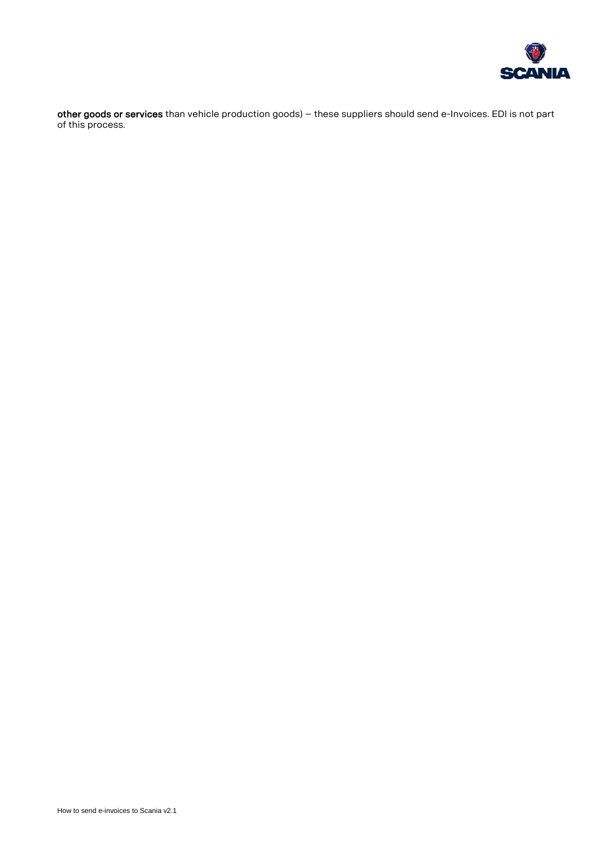

other goods or services than vehicle production goods) – these suppliers should send e-Invoices. EDI is not part of this process.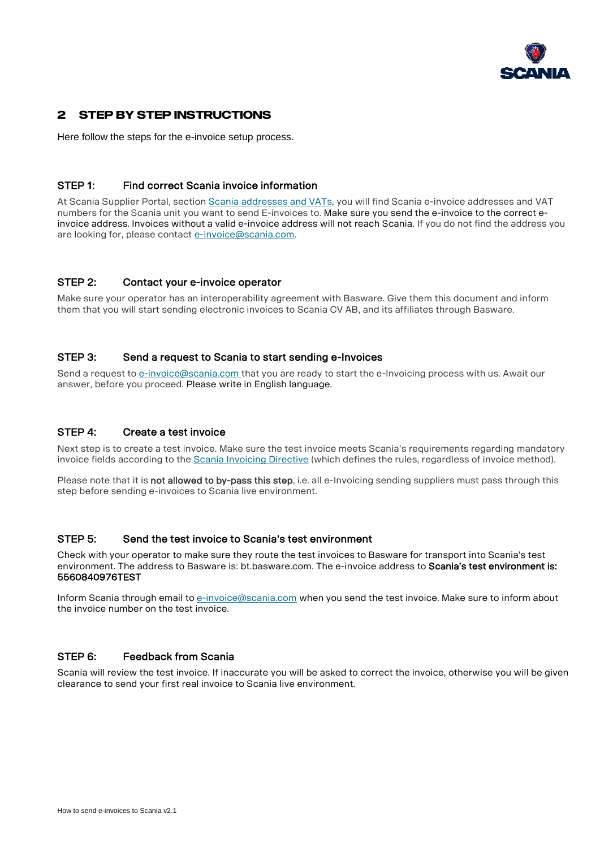

### <span id="page-3-0"></span>**2 Step by step instructions**

Here follow the steps for the e-invoice setup process.

#### STEP 1: Find correct Scania invoice information

At Scania Supplier Portal, sectio[n Scania addresses and VATs,](https://supplier.scania.com/wps/portal/Home/Invoicing-Scania/Scania-addresses-and-VATs/!ut/p/a1/lZLLDoIwEEW_xS_otBRalwWVZ0MoNiIbw4qQKLowfr_QsCGNJc6uzTm5k96iFjWoHbvP0Hfv4Tl29_ncBrcMCMeYkpQX0R7EWTOiE4zrkE7AdQLgxwgwfhSLhLJiutDxAVJWhbqUuQfSX3wHsM6XpzlfBrnKFYk53fDTwLm_ChbfEbD2gYHxK8oUcOxbvgW48pntW8Cf-1vARn8X1BqEEX5MMsBZWUsx9aYUpx7NFMUL4HpiA7j-wFaLr4c208CQ9mK3-wKrj2wU/dl5/d5/L2dBISEvZ0FBIS9nQSEh/) you will find Scania e-invoice addresses and VAT numbers for the Scania unit you want to send E-invoices to. Make sure you send the e-invoice to the correct einvoice address. Invoices without a valid e-invoice address will not reach Scania. If you do not find the address you are looking for, please contact [e-invoice@scania.com.](mailto:e-invoice@scania.com)

#### STEP 2: Contact your e-invoice operator

Make sure your operator has an interoperability agreement with Basware. Give them this document and inform them that you will start sending electronic invoices to Scania CV AB, and its affiliates through Basware.

#### STEP 3: Send a request to Scania to start sending e-Invoices

Send a request to [e-invoice@scania.com](mailto:e-invoice@scania.com) that you are ready to start the e-Invoicing process with us. Await our answer, before you proceed. Please write in English language.

#### STEP 4: Create a test invoice

Next step is to create a test invoice. Make sure the test invoice meets Scania's requirements regarding mandatory invoice fields according to the [Scania Invoicing Directive](https://supplier.scania.com/wps/portal/Home/Invoicing-Scania/How-to-Invoice-Scania/Scania-Invoice-Directive/) (which defines the rules, regardless of invoice method).

Please note that it is not allowed to by-pass this step, i.e. all e-Invoicing sending suppliers must pass through this step before sending e-invoices to Scania live environment.

#### STEP 5: Send the test invoice to Scania's test environment

Check with your operator to make sure they route the test invoices to Basware for transport into Scania's test environment. The address to Basware is: bt.basware.com. The e-invoice address to Scania's test environment is: 5560840976TEST

Inform Scania through email to [e-invoice@scania.com](mailto:e-invoice@scania.com) when you send the test invoice. Make sure to inform about the invoice number on the test invoice.

#### STEP 6: Feedback from Scania

Scania will review the test invoice. If inaccurate you will be asked to correct the invoice, otherwise you will be given clearance to send your first real invoice to Scania live environment.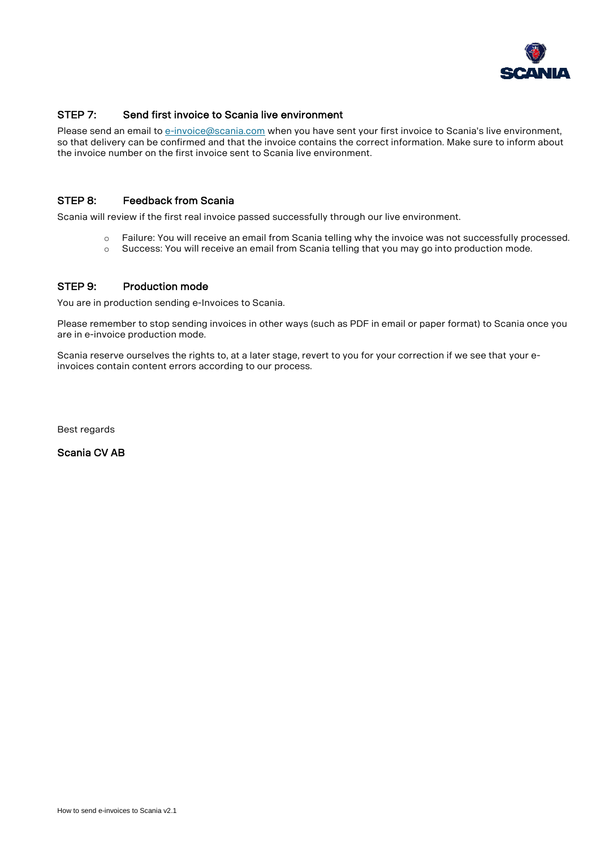

#### STEP 7: Send first invoice to Scania live environment

Please send an email to [e-invoice@scania.com](mailto:e-invoice@scania.com) when you have sent your first invoice to Scania's live environment, so that delivery can be confirmed and that the invoice contains the correct information. Make sure to inform about the invoice number on the first invoice sent to Scania live environment.

#### STEP 8: Feedback from Scania

Scania will review if the first real invoice passed successfully through our live environment.

- o Failure: You will receive an email from Scania telling why the invoice was not successfully processed.
- o Success: You will receive an email from Scania telling that you may go into production mode.

#### STEP 9: Production mode

You are in production sending e-Invoices to Scania.

Please remember to stop sending invoices in other ways (such as PDF in email or paper format) to Scania once you are in e-invoice production mode.

Scania reserve ourselves the rights to, at a later stage, revert to you for your correction if we see that your einvoices contain content errors according to our process.

Best regards

Scania CV AB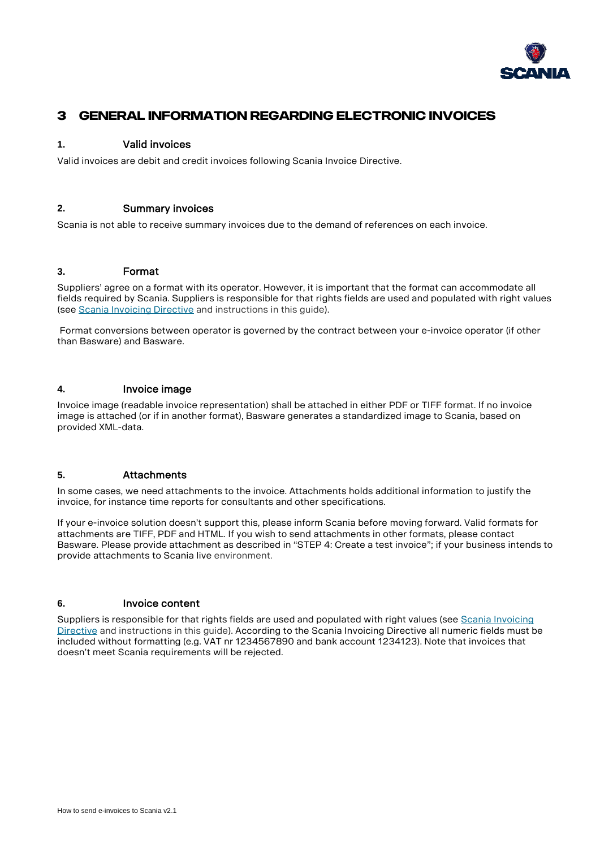

## <span id="page-5-0"></span>**3 General information regarding electronic invoices**

#### **1.** Valid invoices

Valid invoices are debit and credit invoices following Scania Invoice Directive.

#### **2.** Summary invoices

Scania is not able to receive summary invoices due to the demand of references on each invoice.

#### **3.** Format

Suppliers' agree on a format with its operator. However, it is important that the format can accommodate all fields required by Scania. Suppliers is responsible for that rights fields are used and populated with right values (see [Scania Invoicing Directive](https://supplier.scania.com/wps/portal/Home/Invoicing-Scania/How-to-Invoice-Scania/Scania-Invoice-Directive/) and instructions in this guide).

Format conversions between operator is governed by the contract between your e-invoice operator (if other than Basware) and Basware.

#### **4.** Invoice image

Invoice image (readable invoice representation) shall be attached in either PDF or TIFF format. If no invoice image is attached (or if in another format), Basware generates a standardized image to Scania, based on provided XML-data.

#### **5.** Attachments

In some cases, we need attachments to the invoice. Attachments holds additional information to justify the invoice, for instance time reports for consultants and other specifications.

If your e-invoice solution doesn't support this, please inform Scania before moving forward. Valid formats for attachments are TIFF, PDF and HTML. If you wish to send attachments in other formats, please contact Basware. Please provide attachment as described in "STEP 4: Create a test invoice"; if your business intends to provide attachments to Scania live environment.

#### **6.** Invoice content

Suppliers is responsible for that rights fields are used and populated with right values (see Scania Invoicing [Directive](https://supplier.scania.com/wps/portal/Home/Invoicing-Scania/How-to-Invoice-Scania/Scania-Invoice-Directive/) and instructions in this guide). According to the Scania Invoicing Directive all numeric fields must be included without formatting (e.g. VAT nr 1234567890 and bank account 1234123). Note that invoices that doesn't meet Scania requirements will be rejected.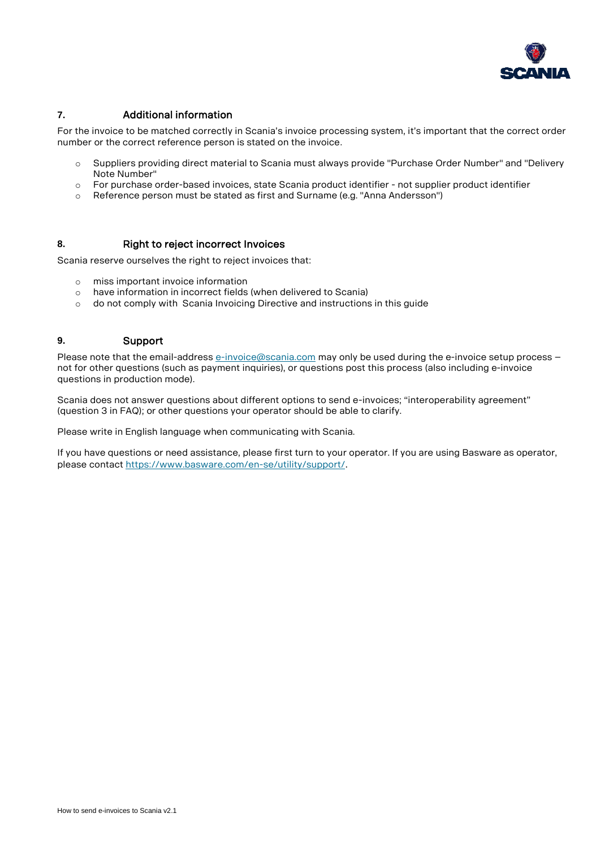

#### **7.** Additional information

For the invoice to be matched correctly in Scania's invoice processing system, it's important that the correct order number or the correct reference person is stated on the invoice.

- o Suppliers providing direct material to Scania must always provide "Purchase Order Number" and "Delivery Note Number"
- o For purchase order-based invoices, state Scania product identifier not supplier product identifier
- o Reference person must be stated as first and Surname (e.g. "Anna Andersson")

#### **8.** Right to reject incorrect Invoices

Scania reserve ourselves the right to reject invoices that:

- o miss important invoice information
- o have information in incorrect fields (when delivered to Scania)
- o do not comply with [Scania Invoicing Directive](https://supplier.scania.com/wps/portal/Home/Invoicing-Scania/How-to-Invoice-Scania/Scania-Invoice-Directive/) and instructions in this guide

#### **9.** Support

Please note that the email-address [e-invoice@scania.com](mailto:e-invoice@scania.com) may only be used during the e-invoice setup process – not for other questions (such as payment inquiries), or questions post this process (also including e-invoice questions in production mode).

Scania does not answer questions about different options to send e-invoices; "interoperability agreement" (question 3 in FAQ); or other questions your operator should be able to clarify.

Please write in English language when communicating with Scania.

If you have questions or need assistance, please first turn to your operator. If you are using Basware as operator, please contact<https://www.basware.com/en-se/utility/support/>.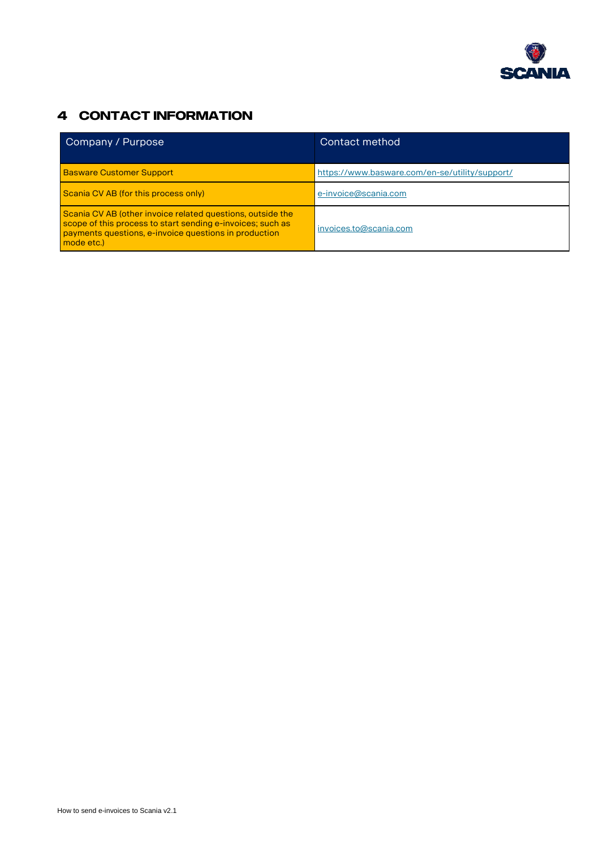

# <span id="page-7-0"></span>**4 Contact information**

| Company / Purpose                                                                                                                                                                               | Contact method                                 |
|-------------------------------------------------------------------------------------------------------------------------------------------------------------------------------------------------|------------------------------------------------|
| <b>Basware Customer Support</b>                                                                                                                                                                 | https://www.basware.com/en-se/utility/support/ |
| Scania CV AB (for this process only)                                                                                                                                                            | e-invoice@scania.com                           |
| Scania CV AB (other invoice related questions, outside the<br>scope of this process to start sending e-invoices; such as<br>payments questions, e-invoice questions in production<br>mode etc.) | invoices.to@scania.com                         |